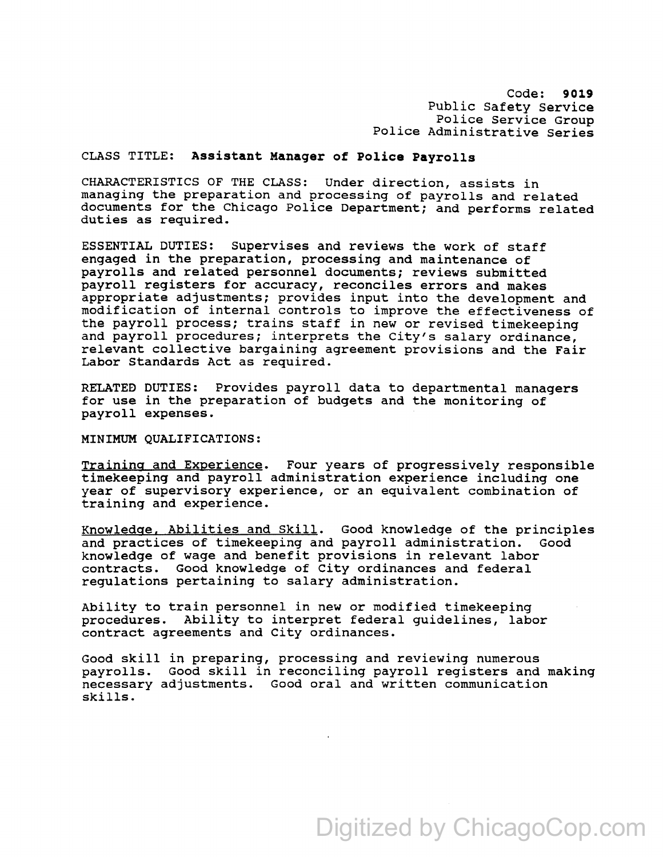Police Administrative Series Code: **9019**  Public Safety Service Police service Group

## CLASS TITLE: **Assistant Manaqer of Police Payrolls**

CHARACTERISTICS OF THE CLASS: Under direction, assists in managing the preparation and processing of payrolls and related documents for the Chicago Police Department; and performs related duties as required.

ESSENTIAL DUTIES: Supervises and reviews the work of staff engaged in the preparation, processing and maintenance of payrolls and related personnel documents; reviews submitted payroll registers for accuracy, reconciles errors and makes appropriate adjustments; provides input into the development and modification of internal controls to improve the effectiveness of the payroll process; trains staff in new or revised timekeeping and payroll procedures; interprets the City's salary ordinance, relevant collective bargaining agreement provisions and the Fair Labor Standards Act as required.

RELATED DUTIES: Provides payroll data to departmental managers for use in the preparation of budgets and the monitoring of payroll expenses.

MINIMUM QUALIFICATIONS:

Training and Experience. Four years of progressively responsible timekeeping and payroll administration experience including one year of supervisory experience, or an equivalent combination of training and experience.

Knowledge. Abilities and Skill. Good knowledge of the principles and practices of timekeeping and payroll administration. Good knowledge of wage and benefit provisions in relevant labor contracts. Good knowledge of City ordinances and federal regulations pertaining to salary administration.

Ability to train personnel in new or modified timekeeping procedures. Ability to interpret federal guidelines, labor contract agreements and City ordinances.

Good skill in preparing, processing and reviewing numerous payrolls. Good skill in reconciling payroll registers and making necessary adjustments. Good oral and written communication skills.

## Digitized by ChicagoCop.com